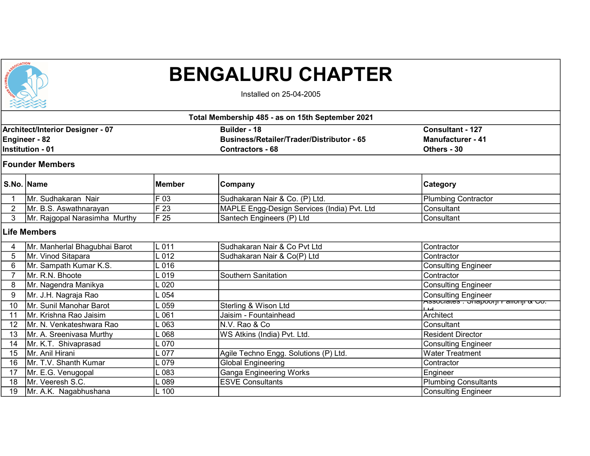

## BENGALURU CHAPTER

Installed on 25-04-2005

|                                                                              | Total Membership 485 - as on 15th September 2021 |               |                                                                                                    |                                                                    |  |  |
|------------------------------------------------------------------------------|--------------------------------------------------|---------------|----------------------------------------------------------------------------------------------------|--------------------------------------------------------------------|--|--|
| Architect/Interior Designer - 07<br>Engineer - 82<br><b>Institution - 01</b> |                                                  |               | <b>Builder - 18</b><br><b>Business/Retailer/Trader/Distributor - 65</b><br><b>Contractors - 68</b> | <b>Consultant - 127</b><br><b>Manufacturer - 41</b><br>Others - 30 |  |  |
|                                                                              | <b>Founder Members</b>                           |               |                                                                                                    |                                                                    |  |  |
|                                                                              | S.No. Name                                       | <b>Member</b> | Company                                                                                            | <b>Category</b>                                                    |  |  |
|                                                                              | İMr. Sudhakaran Nair                             | F 03          | Sudhakaran Nair & Co. (P) Ltd.                                                                     | <b>Plumbing Contractor</b>                                         |  |  |
| $\overline{2}$                                                               | Mr. B.S. Aswathnarayan                           | F 23          | MAPLE Engg-Design Services (India) Pvt. Ltd                                                        | Consultant                                                         |  |  |
| 3                                                                            | Mr. Rajgopal Narasimha Murthy                    | F25           | Santech Engineers (P) Ltd                                                                          | Consultant                                                         |  |  |
|                                                                              | <b>Life Members</b>                              |               |                                                                                                    |                                                                    |  |  |
| 4                                                                            | Mr. Manherlal Bhagubhai Barot                    | $-011$        | Sudhakaran Nair & Co Pvt Ltd                                                                       | Contractor                                                         |  |  |
| 5                                                                            | Mr. Vinod Sitapara                               | .012          | Sudhakaran Nair & Co(P) Ltd                                                                        | Contractor                                                         |  |  |
| 6                                                                            | Mr. Sampath Kumar K.S.                           | .016          |                                                                                                    | <b>Consulting Engineer</b>                                         |  |  |
|                                                                              | Mr. R.N. Bhoote                                  | .019          | Southern Sanitation                                                                                | Contractor                                                         |  |  |
| 8                                                                            | Mr. Nagendra Manikya                             | .020          |                                                                                                    | <b>Consulting Engineer</b>                                         |  |  |
| 9                                                                            | Mr. J.H. Nagraja Rao                             | .054          |                                                                                                    | <b>Consulting Engineer</b>                                         |  |  |
| 10                                                                           | Mr. Sunil Manohar Barot                          | .059          | Sterling & Wison Ltd                                                                               |                                                                    |  |  |
| 11                                                                           | Mr. Krishna Rao Jaisim                           | .061          | Jaisim - Fountainhead                                                                              | Architect                                                          |  |  |
| 12                                                                           | Mr. N. Venkateshwara Rao                         | .063          | N.V. Rao & Co                                                                                      | Consultant                                                         |  |  |
| 13                                                                           | Mr. A. Sreenivasa Murthy                         | .068          | WS Atkins (India) Pvt. Ltd.                                                                        | <b>Resident Director</b>                                           |  |  |
| 14                                                                           | Mr. K.T. Shivaprasad                             | .070          |                                                                                                    | <b>Consulting Engineer</b>                                         |  |  |
| 15                                                                           | Mr. Anil Hirani                                  | .077          | Agile Techno Engg. Solutions (P) Ltd.                                                              | <b>Water Treatment</b>                                             |  |  |
| 16                                                                           | Mr. T.V. Shanth Kumar                            | .079          | <b>Global Engineering</b>                                                                          | Contractor                                                         |  |  |
| 17                                                                           | Mr. E.G. Venugopal                               | .083          | <b>Ganga Engineering Works</b>                                                                     | Engineer                                                           |  |  |
| 18                                                                           | Mr. Veeresh S.C.                                 | 089           | <b>ESVE Consultants</b>                                                                            | <b>Plumbing Consultants</b>                                        |  |  |
| $\overline{19}$                                                              | Mr. A.K. Nagabhushana                            | $L$ 100       |                                                                                                    | Consulting Engineer                                                |  |  |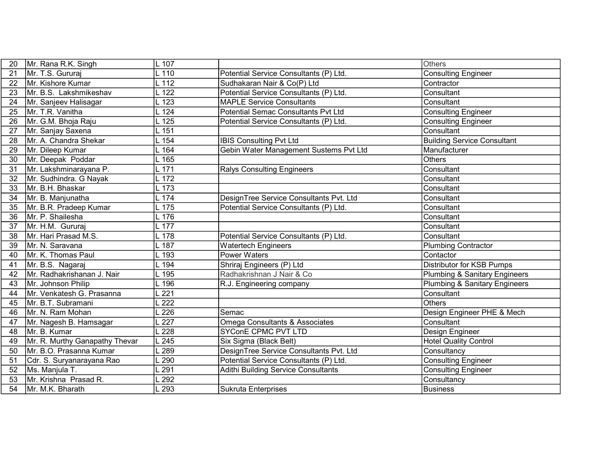| 20 | Mr. Rana R.K. Singh            | $L$ 107       |                                           | <b>Others</b>                            |
|----|--------------------------------|---------------|-------------------------------------------|------------------------------------------|
| 21 | Mr. T.S. Gururaj               | $L$ 110       | Potential Service Consultants (P) Ltd.    | <b>Consulting Engineer</b>               |
| 22 | Mr. Kishore Kumar              | L 112         | Sudhakaran Nair & Co(P) Ltd               | Contractor                               |
| 23 | Mr. B.S. Lakshmikeshav         | $L$ 122       | Potential Service Consultants (P) Ltd.    | Consultant                               |
| 24 | Mr. Sanjeev Halisagar          | $L$ 123       | <b>MAPLE Service Consultants</b>          | Consultant                               |
| 25 | Mr. T.R. Vanitha               | $L$ 124       | Potential Semac Consultants Pvt Ltd       | <b>Consulting Engineer</b>               |
| 26 | Mr. G.M. Bhoja Raju            | $L$ 125       | Potential Service Consultants (P) Ltd.    | <b>Consulting Engineer</b>               |
| 27 | Mr. Sanjay Saxena              | $L$ 151       |                                           | Consultant                               |
| 28 | Mr. A. Chandra Shekar          | $L$ 154       | <b>IBIS Consulting Pvt Ltd</b>            | <b>Building Service Consultant</b>       |
| 29 | Mr. Dileep Kumar               | $L$ 164       | Gebin Water Management Sustems Pvt Ltd    | Manufacturer                             |
| 30 | Mr. Deepak Poddar              | $L$ 165       |                                           | <b>Others</b>                            |
| 31 | Mr. Lakshminarayana P.         | $L$ 171       | <b>Ralys Consulting Engineers</b>         | Consultant                               |
| 32 | Mr. Sudhindra. G Nayak         | L 172         |                                           | Consultant                               |
| 33 | Mr. B.H. Bhaskar               | $L$ 173       |                                           | Consultant                               |
| 34 | Mr. B. Manjunatha              | $L$ 174       | DesignTree Service Consultants Pvt. Ltd   | Consultant                               |
| 35 | Mr. B.R. Pradeep Kumar         | $L$ 175       | Potential Service Consultants (P) Ltd.    | Consultant                               |
| 36 | Mr. P. Shailesha               | $L$ 176       |                                           | Consultant                               |
| 37 | Mr. H.M. Gururaj               | $L$ 177       |                                           | Consultant                               |
| 38 | Mr. Hari Prasad M.S.           | $L$ 178       | Potential Service Consultants (P) Ltd.    | Consultant                               |
| 39 | Mr. N. Saravana                | $L$ 187       | <b>Watertech Engineers</b>                | <b>Plumbing Contractor</b>               |
| 40 | Mr. K. Thomas Paul             | $\lfloor 193$ | <b>Power Waters</b>                       | Contactor                                |
| 41 | Mr. B.S. Nagaraj               | $L$ 194       | Shriraj Engineers (P) Ltd                 | Distributor for KSB Pumps                |
| 42 | Mr. Radhakrishanan J. Nair     | $-195$        | Radhakrishnan J Nair & Co                 | Plumbing & Sanitary Engineers            |
| 43 | Mr. Johnson Philip             | L 196         | R.J. Engineering company                  | <b>Plumbing &amp; Sanitary Engineers</b> |
| 44 | Mr. Venkatesh G. Prasanna      | 221           |                                           | Consultant                               |
| 45 | Mr. B.T. Subramani             | 222           |                                           | <b>Others</b>                            |
| 46 | Mr. N. Ram Mohan               | 226           | Semac                                     | Design Engineer PHE & Mech               |
| 47 | Mr. Nagesh B. Hamsagar         | 227           | <b>Omega Consultants &amp; Associates</b> | Consultant                               |
| 48 | Mr. B. Kumar                   | 228           | <b>SYConE CPMC PVT LTD</b>                | Design Engineer                          |
| 49 | Mr. R. Murthy Ganapathy Thevar | 245           | Six Sigma (Black Belt)                    | <b>Hotel Quality Control</b>             |
| 50 | Mr. B.O. Prasanna Kumar        | 289           | DesignTree Service Consultants Pvt. Ltd   | Consultancy                              |
| 51 | Cdr. S. Suryanarayana Rao      | 290           | Potential Service Consultants (P) Ltd.    | <b>Consulting Engineer</b>               |
| 52 | Ms. Manjula T.                 | 291           | Adithi Building Service Consultants       | <b>Consulting Engineer</b>               |
| 53 | Mr. Krishna Prasad R.          | 292           |                                           | Consultancy                              |
| 54 | Mr. M.K. Bharath               | 293           | <b>Sukruta Enterprises</b>                | <b>Business</b>                          |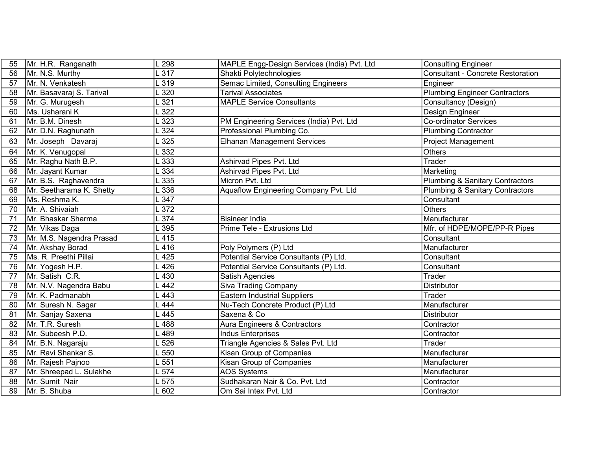| 55 | Mr. H.R. Ranganath       | 298              | MAPLE Engg-Design Services (India) Pvt. Ltd | <b>Consulting Engineer</b>                 |
|----|--------------------------|------------------|---------------------------------------------|--------------------------------------------|
| 56 | Mr. N.S. Murthy          | 317              | Shakti Polytechnologies                     | <b>Consultant - Concrete Restoration</b>   |
| 57 | Mr. N. Venkatesh         | 319              | Semac Limited, Consulting Engineers         | Engineer                                   |
| 58 | Mr. Basavaraj S. Tarival | 320              | <b>Tarival Associates</b>                   | <b>Plumbing Engineer Contractors</b>       |
| 59 | Mr. G. Murugesh          | 321              | <b>MAPLE Service Consultants</b>            | Consultancy (Design)                       |
| 60 | Ms. Usharani K           | 322              |                                             | Design Engineer                            |
| 61 | Mr. B.M. Dinesh          | 323              | PM Engineering Services (India) Pvt. Ltd    | <b>Co-ordinator Services</b>               |
| 62 | Mr. D.N. Raghunath       | 324              | Professional Plumbing Co.                   | <b>Plumbing Contractor</b>                 |
| 63 | Mr. Joseph Davaraj       | 325              | <b>Elhanan Management Services</b>          | <b>Project Management</b>                  |
| 64 | Mr. K. Venugopal         | 332              |                                             | <b>Others</b>                              |
| 65 | Mr. Raghu Nath B.P.      | 333              | Ashirvad Pipes Pvt. Ltd                     | Trader                                     |
| 66 | Mr. Jayant Kumar         | 334              | Ashirvad Pipes Pvt. Ltd                     | Marketing                                  |
| 67 | Mr. B.S. Raghavendra     | 335              | Micron Pvt. Ltd                             | <b>Plumbing &amp; Sanitary Contractors</b> |
| 68 | Mr. Seetharama K. Shetty | 336              | Aquaflow Engineering Company Pvt. Ltd       | <b>Plumbing &amp; Sanitary Contractors</b> |
| 69 | ∣Ms. Reshma K.           | 347              |                                             | Consultant                                 |
| 70 | Mr. A. Shivaiah          | 372              |                                             | <b>Others</b>                              |
| 71 | Mr. Bhaskar Sharma       | 374              | <b>Bisineer India</b>                       | Manufacturer                               |
| 72 | Mr. Vikas Daga           | 395              | Prime Tele - Extrusions Ltd                 | Mfr. of HDPE/MOPE/PP-R Pipes               |
| 73 | Mr. M.S. Nagendra Prasad | 415              |                                             | Consultant                                 |
| 74 | Mr. Akshay Borad         | .416             | Poly Polymers (P) Ltd                       | Manufacturer                               |
| 75 | Ms. R. Preethi Pillai    | 425              | Potential Service Consultants (P) Ltd.      | Consultant                                 |
| 76 | Mr. Yogesh H.P.          | 426              | Potential Service Consultants (P) Ltd.      | Consultant                                 |
| 77 | Mr. Satish C.R.          | 430              | Satish Agencies                             | Trader                                     |
| 78 | Mr. N.V. Nagendra Babu   | 442              | <b>Siva Trading Company</b>                 | <b>Distributor</b>                         |
| 79 | İMr. K. Padmanabh        | 443              | <b>Eastern Industrial Suppliers</b>         | Trader                                     |
| 80 | Mr. Suresh N. Sagar      | 444              | Nu-Tech Concrete Product (P) Ltd            | Manufacturer                               |
| 81 | Mr. Sanjay Saxena        | 445              | Saxena & Co                                 | <b>Distributor</b>                         |
| 82 | Mr. T.R. Suresh          | 488              | Aura Engineers & Contractors                | Contractor                                 |
| 83 | Mr. Subeesh P.D.         | 489              | <b>Indus Enterprises</b>                    | Contractor                                 |
| 84 | Mr. B.N. Nagaraju        | 526              | Triangle Agencies & Sales Pvt. Ltd          | <b>Trader</b>                              |
| 85 | Mr. Ravi Shankar S.      | 550              | Kisan Group of Companies                    | Manufacturer                               |
| 86 | Mr. Rajesh Pajnoo        | $\overline{551}$ | Kisan Group of Companies                    | Manufacturer                               |
| 87 | Mr. Shreepad L. Sulakhe  | .574             | <b>AOS Systems</b>                          | Manufacturer                               |
| 88 | Mr. Sumit Nair           | 575              | Sudhakaran Nair & Co. Pvt. Ltd              | Contractor                                 |
| 89 | Mr. B. Shuba             | .602             | Om Sai Intex Pvt. Ltd                       | Contractor                                 |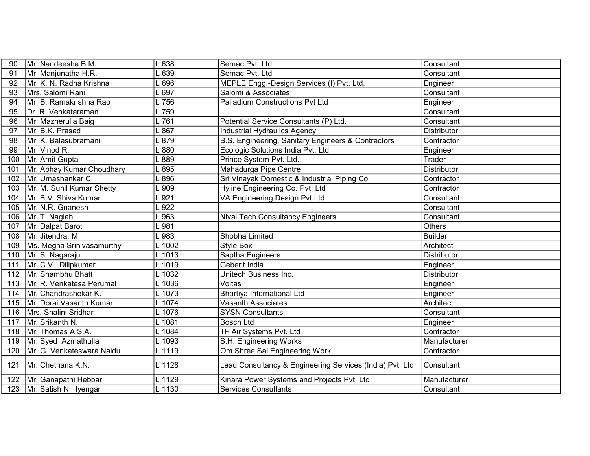| 90  | Mr. Nandeesha B.M.              | .638     | Semac Pvt. Ltd                                           | Consultant         |
|-----|---------------------------------|----------|----------------------------------------------------------|--------------------|
| 91  | Mr. Manjunatha H.R.             | 639      | Semac Pvt. Ltd                                           | Consultant         |
| 92  | Mr. K. N. Radha Krishna         | .696     | MEPLE Engg.-Design Services (I) Pvt. Ltd.                | Engineer           |
| 93  | Mrs. Salomi Rani                | .697     | Salomi & Associates                                      | Consultant         |
| 94  | Mr. B. Ramakrishna Rao          | L 756    | <b>Palladium Constructions Pvt Ltd</b>                   | Engineer           |
| 95  | Dr. R. Venkataraman             | L 759    |                                                          | Consultant         |
| 96  | Mr. Mazherulla Baig             | L761     | Potential Service Consultants (P) Ltd.                   | Consultant         |
| 97  | Mr. B.K. Prasad                 | .867     | <b>Industrial Hydraulics Agency</b>                      | Distributor        |
| 98  | Mr. K. Balasubramani            | .879     | B.S. Engineering, Sanitary Engineers & Contractors       | Contractor         |
| 99  | Mr. Vinod R.                    | $-880$   | Ecologic Solutions India Pvt. Ltd                        | Engineer           |
| 100 | Mr. Amit Gupta                  | L 889    | Prince System Pvt. Ltd.                                  | Trader             |
| 101 | Mr. Abhay Kumar Choudhary       | .895     | Mahadurga Pipe Centre                                    | Distributor        |
| 102 | Mr. Umashankar C.               | .896     | Sri Vinayak Domestic & Industrial Piping Co.             | Contractor         |
|     | 103   Mr. M. Sunil Kumar Shetty | .909     | Hyline Engineering Co. Pvt. Ltd                          | Contractor         |
|     | 104   Mr. B.V. Shiva Kumar      | .921     | VA Engineering Design Pvt.Ltd                            | Consultant         |
| 105 | Mr. N.R. Gnanesh                | 922      |                                                          | Consultant         |
| 106 | Mr. T. Nagiah                   | .963     | <b>Nival Tech Consultancy Engineers</b>                  | Consultant         |
| 107 | Mr. Dalpat Barot                | $-981$   |                                                          | Others             |
| 108 | Mr. Jitendra. M                 | .983     | Shobha Limited                                           | <b>Builder</b>     |
| 109 | Ms. Megha Srinivasamurthy       | $-1002$  | Style Box                                                | Architect          |
|     | 110   Mr. S. Nagaraju           | L 1013   | Saptha Engineers                                         | <b>Distributor</b> |
| 111 | Mr. C.V. Dilipkumar             | L 1019   | Geberit India                                            | Engineer           |
| 112 | Mr. Shambhu Bhatt               | L 1032   | Unitech Business Inc.                                    | <b>Distributor</b> |
| 113 | Mr. R. Venkatesa Perumal        | $\_1036$ | Voltas                                                   | Engineer           |
|     | 114   Mr. Chandrashekar K.      | L 1073   | Bhartiya International Ltd                               | Engineer           |
|     | 115   Mr. Dorai Vasanth Kumar   | L 1074   | <b>Vasanth Associates</b>                                | Architect          |
| 116 | Mrs. Shalini Sridhar            | L 1076   | <b>SYSN Consultants</b>                                  | Consultant         |
| 117 | Mr. Srikanth N.                 | L 1081   | <b>Bosch Ltd</b>                                         | Engineer           |
|     | 118   Mr. Thomas A.S.A.         | L 1084   | TF Air Systems Pvt. Ltd                                  | Contractor         |
|     | 119   Mr. Syed Azmathulla       | L 1093   | S.H. Engineering Works                                   | Manufacturer       |
| 120 | Mr. G. Venkateswara Naidu       | L 1119   | Om Shree Sai Engineering Work                            | Contractor         |
| 121 | Mr. Chethana K.N.               | L 1128   | Lead Consultancy & Engineering Services (India) Pvt. Ltd | Consultant         |
| 122 | Mr. Ganapathi Hebbar            | L 1129   | Kinara Power Systems and Projects Pvt. Ltd               | Manufacturer       |
|     | 123   Mr. Satish N. Iyengar     | L 1130   | <b>Services Consultants</b>                              | Consultant         |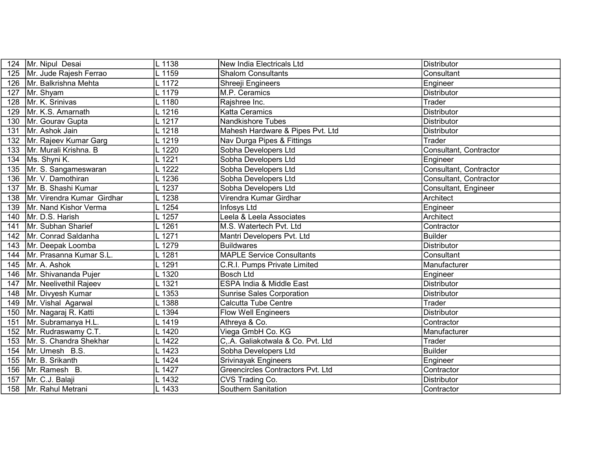| 124 | Mr. Nipul Desai                  | L 1138                 | New India Electricals Ltd         | <b>Distributor</b>     |
|-----|----------------------------------|------------------------|-----------------------------------|------------------------|
| 125 | Mr. Jude Rajesh Ferrao           | L 1159                 | <b>Shalom Consultants</b>         | Consultant             |
|     | 126   Mr. Balkrishna Mehta       | L 1172                 | Shreeji Engineers                 | Engineer               |
| 127 | Mr. Shyam                        | L 1179                 | M.P. Ceramics                     | <b>Distributor</b>     |
| 128 | Mr. K. Srinivas                  | L 1180                 | Rajshree Inc.                     | Trader                 |
| 129 | Mr. K.S. Amarnath                | L 1216                 | <b>Katta Ceramics</b>             | <b>Distributor</b>     |
| 130 | Mr. Gourav Gupta                 | L 1217                 | <b>Nandkishore Tubes</b>          | Distributor            |
| 131 | Mr. Ashok Jain                   | L 1218                 | Mahesh Hardware & Pipes Pvt. Ltd  | Distributor            |
| 132 | Mr. Rajeev Kumar Garg            | L 1219                 | Nav Durga Pipes & Fittings        | Trader                 |
| 133 | Mr. Murali Krishna. B            | L 1220                 | Sobha Developers Ltd              | Consultant, Contractor |
| 134 | Ms. Shyni K.                     | L 1221                 | Sobha Developers Ltd              | Engineer               |
| 135 | Mr. S. Sangameswaran             | L 1222                 | Sobha Developers Ltd              | Consultant, Contractor |
| 136 | Mr. V. Damothiran                | L 1236                 | Sobha Developers Ltd              | Consultant, Contractor |
|     | 137   Mr. B. Shashi Kumar        | L 1237                 | Sobha Developers Ltd              | Consultant, Engineer   |
|     | 138   Mr. Virendra Kumar Girdhar | $L$ 1238               | Virendra Kumar Girdhar            | Architect              |
| 139 | Mr. Nand Kishor Verma            | $\lfloor 1254 \rfloor$ | Infosys Ltd                       | Engineer               |
| 140 | Mr. D.S. Harish                  | L 1257                 | Leela & Leela Associates          | Architect              |
| 141 | Mr. Subhan Sharief               | L 1261                 | M.S. Watertech Pvt. Ltd           | Contractor             |
| 142 | Mr. Conrad Saldanha              | L 1271                 | Mantri Developers Pvt. Ltd        | <b>Builder</b>         |
| 143 | Mr. Deepak Loomba                | L 1279                 | <b>Buildwares</b>                 | <b>Distributor</b>     |
| 144 | Mr. Prasanna Kumar S.L.          | L 1281                 | <b>MAPLE Service Consultants</b>  | Consultant             |
| 145 | Mr. A. Ashok                     | L 1291                 | C.R.I. Pumps Private Limited      | Manufacturer           |
| 146 | Mr. Shivananda Pujer             | L 1320                 | <b>Bosch Ltd</b>                  | Engineer               |
| 147 | Mr. Neelivethil Rajeev           | L 1321                 | ESPA India & Middle East          | <b>Distributor</b>     |
| 148 | Mr. Divyesh Kumar                | L 1353                 | <b>Sunrise Sales Corporation</b>  | <b>Distributor</b>     |
| 149 | Mr. Vishal Agarwal               | L 1388                 | Calcutta Tube Centre              | Trader                 |
| 150 | Mr. Nagaraj R. Katti             | L 1394                 | <b>Flow Well Engineers</b>        | <b>Distributor</b>     |
| 151 | Mr. Subramanya H.L.              | L 1419                 | Athreya & Co.                     | Contractor             |
|     | 152   Mr. Rudraswamy C.T.        | $L$ 1420               | Viega GmbH Co. KG                 | Manufacturer           |
| 153 | Mr. S. Chandra Shekhar           | L 1422                 | C.A. Galiakotwala & Co. Pvt. Ltd  | Trader                 |
| 154 | Mr. Umesh B.S.                   | L 1423                 | Sobha Developers Ltd              | <b>Builder</b>         |
| 155 | Mr. B. Srikanth                  | L 1424                 | <b>Srivinayak Engineers</b>       | Engineer               |
| 156 | Mr. Ramesh B.                    | L 1427                 | Greencircles Contractors Pvt. Ltd | Contractor             |
| 157 | Mr. C.J. Balaji                  | L 1432                 | CVS Trading Co.                   | Distributor            |
| 158 | Mr. Rahul Metrani                | L 1433                 | Southern Sanitation               | Contractor             |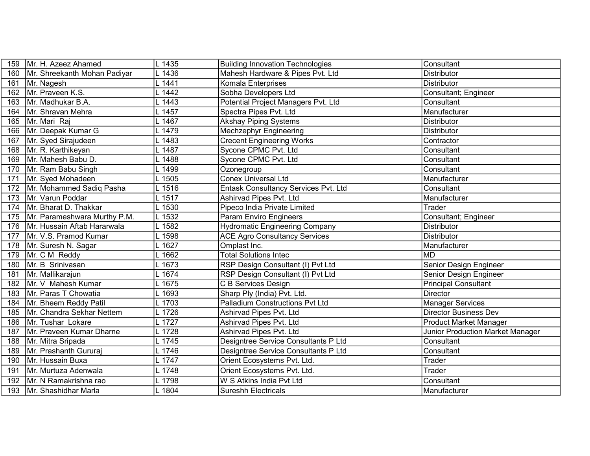| 159 | Mr. H. Azeez Ahamed          | L 1435   | <b>Building Innovation Technologies</b> | Consultant                       |
|-----|------------------------------|----------|-----------------------------------------|----------------------------------|
| 160 | Mr. Shreekanth Mohan Padiyar | 1436     | Mahesh Hardware & Pipes Pvt. Ltd        | <b>Distributor</b>               |
| 161 | Mr. Nagesh                   | L 1441   | Komala Enterprises                      | <b>Distributor</b>               |
| 162 | Mr. Praveen K.S.             | L 1442   | Sobha Developers Ltd                    | Consultant; Engineer             |
| 163 | Mr. Madhukar B.A.            | L 1443   | Potential Project Managers Pvt. Ltd     | Consultant                       |
| 164 | Mr. Shravan Mehra            | 1457     | Spectra Pipes Pvt. Ltd                  | Manufacturer                     |
| 165 | Mr. Mari Raj                 | L 1467   | <b>Akshay Piping Systems</b>            | Distributor                      |
| 166 | Mr. Deepak Kumar G           | L 1479   | Mechzephyr Engineering                  | Distributor                      |
| 167 | Mr. Syed Sirajudeen          | 1483     | <b>Crecent Engineering Works</b>        | Contractor                       |
| 168 | Mr. R. Karthikeyan           | 1487     | Sycone CPMC Pvt. Ltd                    | Consultant                       |
| 169 | Mr. Mahesh Babu D.           | L 1488   | Sycone CPMC Pvt. Ltd                    | Consultant                       |
| 170 | Mr. Ram Babu Singh           | L 1499   | Ozonegroup                              | Consultant                       |
| 171 | Mr. Syed Mohadeen            | L 1505   | Conex Universal Ltd                     | Manufacturer                     |
| 172 | Mr. Mohammed Sadiq Pasha     | L 1516   | Entask Consultancy Services Pvt. Ltd    | Consultant                       |
| 173 | Mr. Varun Poddar             | $L$ 1517 | Ashirvad Pipes Pvt. Ltd                 | Manufacturer                     |
| 174 | Mr. Bharat D. Thakkar        | L 1530   | Pipeco India Private Limited            | $\overline{T}$ rader             |
| 175 | Mr. Parameshwara Murthy P.M. | L 1532   | Param Enviro Engineers                  | Consultant; Engineer             |
| 176 | Mr. Hussain Aftab Hararwala  | 1582     | <b>Hydromatic Engineering Company</b>   | <b>Distributor</b>               |
| 177 | Mr. V.S. Pramod Kumar        | L 1598   | <b>ACE Agro Consultancy Services</b>    | <b>Distributor</b>               |
| 178 | Mr. Suresh N. Sagar          | $L$ 1627 | Omplast Inc.                            | Manufacturer                     |
| 179 | Mr. C M Reddy                | L 1662   | <b>Total Solutions Intec</b>            | <b>MD</b>                        |
| 180 | Mr. B Srinivasan             | 1673     | RSP Design Consultant (I) Pvt Ltd       | Senior Design Engineer           |
| 181 | Mr. Mallikarajun             | L 1674   | RSP Design Consultant (I) Pvt Ltd       | Senior Design Engineer           |
| 182 | Mr. V Mahesh Kumar           | L 1675   | C B Services Design                     | <b>Principal Consultant</b>      |
| 183 | Mr. Paras T Chowatia         | L 1693   | Sharp Ply (India) Pvt. Ltd.             | Director                         |
| 184 | Mr. Bheem Reddy Patil        | L 1703   | Palladium Constructions Pvt Ltd         | <b>Manager Services</b>          |
| 185 | Mr. Chandra Sekhar Nettem    | L 1726   | Ashirvad Pipes Pvt. Ltd                 | <b>Director Business Dev</b>     |
| 186 | Mr. Tushar Lokare            | L 1727   | Ashirvad Pipes Pvt. Ltd                 | <b>Product Market Manager</b>    |
| 187 | Mr. Praveen Kumar Dharne     | L 1728   | Ashirvad Pipes Pvt. Ltd                 | Junior Production Market Manager |
| 188 | Mr. Mitra Sripada            | L 1745   | Designtree Service Consultants P Ltd    | Consultant                       |
| 189 | Mr. Prashanth Gururaj        | L 1746   | Designtree Service Consultants P Ltd    | Consultant                       |
| 190 | Mr. Hussain Buxa             | L 1747   | Orient Ecosystems Pvt. Ltd.             | Trader                           |
| 191 | Mr. Murtuza Adenwala         | L 1748   | Orient Ecosystems Pvt. Ltd.             | Trader                           |
| 192 | Mr. N Ramakrishna rao        | L 1798   | W S Atkins India Pvt Ltd                | Consultant                       |
| 193 | Mr. Shashidhar Marla         | L 1804   | <b>Sureshh Electricals</b>              | Manufacturer                     |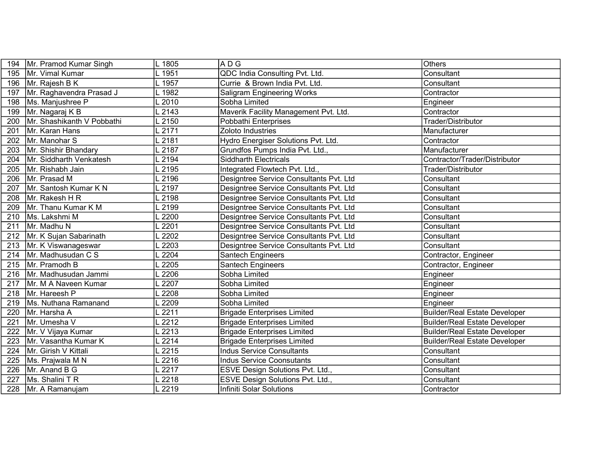| 194 | Mr. Pramod Kumar Singh     | L 1805 | ADG                                     | <b>Others</b>                        |
|-----|----------------------------|--------|-----------------------------------------|--------------------------------------|
| 195 | Mr. Vimal Kumar            | L 1951 | QDC India Consulting Pvt. Ltd.          | Consultant                           |
| 196 | Mr. Rajesh B K             | L 1957 | Currie & Brown India Pvt. Ltd.          | Consultant                           |
| 197 | Mr. Raghavendra Prasad J   | L 1982 | <b>Saligram Engineering Works</b>       | Contractor                           |
| 198 | Ms. Manjushree P           | 2010   | Sobha Limited                           | Engineer                             |
| 199 | Mr. Nagaraj K B            | 2143   | Maverik Facility Management Pvt. Ltd.   | Contractor                           |
| 200 | Mr. Shashikanth V Pobbathi | 2150   | Pobbathi Enterprises                    | Trader/Distributor                   |
| 201 | Mr. Karan Hans             | 2171   | Zoloto Industries                       | Manufacturer                         |
| 202 | Mr. Manohar S              | 2181   | Hydro Energiser Solutions Pvt. Ltd.     | Contractor                           |
| 203 | Mr. Shishir Bhandary       | .2187  | Grundfos Pumps India Pvt. Ltd.,         | Manufacturer                         |
| 204 | Mr. Siddharth Venkatesh    | 2194   | <b>Siddharth Electricals</b>            | Contractor/Trader/Distributor        |
| 205 | Mr. Rishabh Jain           | 2195   | Integrated Flowtech Pvt. Ltd.,          | Trader/Distributor                   |
| 206 | Mr. Prasad M               | 2196   | Designtree Service Consultants Pvt. Ltd | Consultant                           |
| 207 | Mr. Santosh Kumar K N      | 2197   | Designtree Service Consultants Pvt. Ltd | Consultant                           |
| 208 | Mr. Rakesh H R             | 2198   | Designtree Service Consultants Pvt. Ltd | Consultant                           |
| 209 | Mr. Thanu Kumar K M        | 2199   | Designtree Service Consultants Pvt. Ltd | Consultant                           |
| 210 | Ms. Lakshmi M              | 2200   | Designtree Service Consultants Pvt. Ltd | Consultant                           |
| 211 | Mr. Madhu N                | 2201   | Designtree Service Consultants Pvt. Ltd | Consultant                           |
| 212 | Mr. K Sujan Sabarinath     | 2202   | Designtree Service Consultants Pvt. Ltd | Consultant                           |
| 213 | Mr. K Viswanageswar        | 2203   | Designtree Service Consultants Pvt. Ltd | Consultant                           |
| 214 | Mr. Madhusudan C S         | 2204   | <b>Santech Engineers</b>                | Contractor, Engineer                 |
| 215 | Mr. Pramodh B              | 2205   | Santech Engineers                       | Contractor, Engineer                 |
| 216 | Mr. Madhusudan Jammi       | 2206   | Sobha Limited                           | Engineer                             |
| 217 | Mr. M A Naveen Kumar       | 2207   | Sobha Limited                           | Engineer                             |
| 218 | Mr. Hareesh P              | 2208   | Sobha Limited                           | Engineer                             |
| 219 | Ms. Nuthana Ramanand       | 2209   | Sobha Limited                           | Engineer                             |
| 220 | Mr. Harsha A               | 2211   | <b>Brigade Enterprises Limited</b>      | <b>Builder/Real Estate Developer</b> |
| 221 | Mr. Umesha V               | 2212   | <b>Brigade Enterprises Limited</b>      | <b>Builder/Real Estate Developer</b> |
| 222 | Mr. V Vijaya Kumar         | 2213   | <b>Brigade Enterprises Limited</b>      | <b>Builder/Real Estate Developer</b> |
| 223 | Mr. Vasantha Kumar K       | 2214   | <b>Brigade Enterprises Limited</b>      | <b>Builder/Real Estate Developer</b> |
| 224 | Mr. Girish V Kittali       | 2215   | <b>Indus Service Consultants</b>        | Consultant                           |
| 225 | Ms. Prajwala M N           | .2216  | <b>Indus Service Coonsutants</b>        | Consultant                           |
| 226 | Mr. Anand B G              | 2217   | ESVE Design Solutions Pvt. Ltd.,        | Consultant                           |
| 227 | Ms. Shalini T R            | 2218   | ESVE Design Solutions Pvt. Ltd.,        | Consultant                           |
| 228 | Mr. A Ramanujam            | 2219   | Infiniti Solar Solutions                | Contractor                           |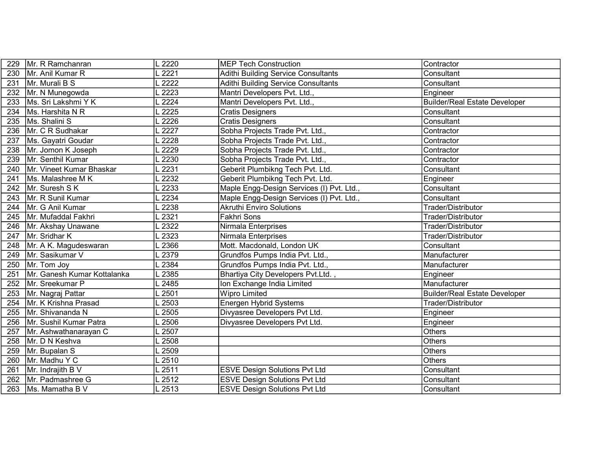| 229 | Mr. R Ramchanran            | 2220  | <b>MEP Tech Construction</b>               | Contractor                           |
|-----|-----------------------------|-------|--------------------------------------------|--------------------------------------|
| 230 | Mr. Anil Kumar R            | 2221  | Adithi Building Service Consultants        | Consultant                           |
| 231 | Mr. Murali B S              | 2222  | <b>Adithi Building Service Consultants</b> | Consultant                           |
| 232 | Mr. N Munegowda             | 2223  | Mantri Developers Pvt. Ltd.,               | Engineer                             |
| 233 | Ms. Sri Lakshmi Y K         | 2224  | Mantri Developers Pvt. Ltd.,               | <b>Builder/Real Estate Developer</b> |
| 234 | Ms. Harshita N R            | 2225  | <b>Cratis Designers</b>                    | Consultant                           |
| 235 | Ms. Shalini S               | 2226  | <b>Cratis Designers</b>                    | Consultant                           |
| 236 | Mr. C R Sudhakar            | 2227  | Sobha Projects Trade Pvt. Ltd.,            | Contractor                           |
| 237 | Ms. Gayatri Goudar          | 2228  | Sobha Projects Trade Pvt. Ltd.,            | Contractor                           |
| 238 | Mr. Jomon K Joseph          | 2229  | Sobha Projects Trade Pvt. Ltd.,            | Contractor                           |
| 239 | Mr. Senthil Kumar           | 2230  | Sobha Projects Trade Pvt. Ltd.,            | Contractor                           |
| 240 | Mr. Vineet Kumar Bhaskar    | 2231  | Geberit Plumbikng Tech Pvt. Ltd.           | Consultant                           |
| 241 | Ms. Malashree M K           | 2232  | Geberit Plumbikng Tech Pvt. Ltd.           | Engineer                             |
| 242 | Mr. Suresh S K              | 2233  | Maple Engg-Design Services (I) Pvt. Ltd.,  | Consultant                           |
| 243 | Mr. R Sunil Kumar           | 2234  | Maple Engg-Design Services (I) Pvt. Ltd.,  | Consultant                           |
| 244 | Mr. G Anil Kumar            | 2238  | <b>Akruthi Enviro Solutions</b>            | Trader/Distributor                   |
| 245 | Mr. Mufaddal Fakhri         | 2321  | Fakhri Sons                                | Trader/Distributor                   |
| 246 | Mr. Akshay Unawane          | 2322  | Nirmala Enterprises                        | Trader/Distributor                   |
| 247 | Mr. Sridhar K               | 2323  | Nirmala Enterprises                        | Trader/Distributor                   |
| 248 | Mr. A K. Magudeswaran       | 2366  | Mott. Macdonald, London UK                 | Consultant                           |
| 249 | Mr. Sasikumar V             | 2379  | Grundfos Pumps India Pvt. Ltd.,            | Manufacturer                         |
| 250 | Mr. Tom Joy                 | 2384  | Grundfos Pumps India Pvt. Ltd.,            | Manufacturer                         |
| 251 | Mr. Ganesh Kumar Kottalanka | 2385  | Bhartiya City Developers Pvt.Ltd.,         | Engineer                             |
| 252 | Mr. Sreekumar P             | 2485  | Ion Exchange India Limited                 | Manufacturer                         |
| 253 | Mr. Nagraj Pattar           | 2501  | <b>Wipro Limited</b>                       | <b>Builder/Real Estate Developer</b> |
| 254 | Mr. K Krishna Prasad        | 2503  | Energen Hybrid Systems                     | Trader/Distributor                   |
| 255 | Mr. Shivananda N            | 2505  | Divyasree Developers Pvt Ltd.              | Engineer                             |
| 256 | Mr. Sushil Kumar Patra      | 2506  | Divyasree Developers Pvt Ltd.              | Engineer                             |
| 257 | Mr. Ashwathanarayan C       | 2507  |                                            | <b>Others</b>                        |
| 258 | Mr. D N Keshva              | 2508  |                                            | Others                               |
| 259 | Mr. Bupalan S               | 2509  |                                            | <b>Others</b>                        |
| 260 | Mr. Madhu Y C               | .2510 |                                            | <b>Others</b>                        |
| 261 | Mr. Indrajith B V           | .2511 | <b>ESVE Design Solutions Pvt Ltd</b>       | Consultant                           |
| 262 | Mr. Padmashree G            | 2512  | <b>ESVE Design Solutions Pvt Ltd</b>       | Consultant                           |
| 263 | Ms. Mamatha B V             | 2513  | <b>ESVE Design Solutions Pvt Ltd</b>       | Consultant                           |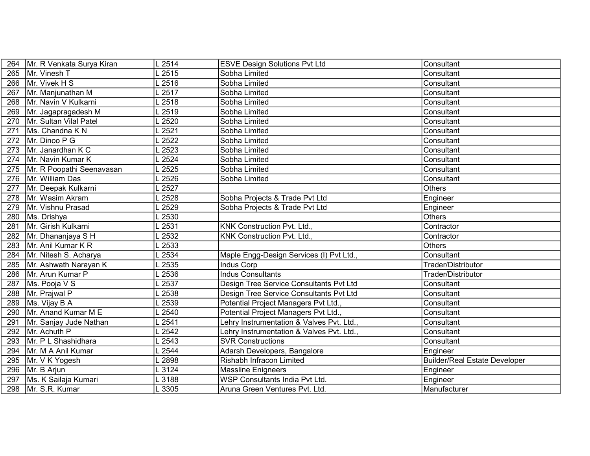| 264 | Mr. R Venkata Surya Kiran | 2514  | <b>ESVE Design Solutions Pvt Ltd</b>      | Consultant                           |
|-----|---------------------------|-------|-------------------------------------------|--------------------------------------|
| 265 | Mr. Vinesh T              | .2515 | Sobha Limited                             | Consultant                           |
| 266 | Mr. Vivek H S             | .2516 | Sobha Limited                             | Consultant                           |
| 267 | Mr. Manjunathan M         | .2517 | Sobha Limited                             | Consultant                           |
| 268 | Mr. Navin V Kulkarni      | 2518  | Sobha Limited                             | Consultant                           |
| 269 | Mr. Jagapragadesh M       | 2519  | Sobha Limited                             | Consultant                           |
| 270 | Mr. Sultan Vilal Patel    | .2520 | Sobha Limited                             | Consultant                           |
| 271 | Ms. Chandna K N           | 2521  | Sobha Limited                             | Consultant                           |
| 272 | Mr. Dinoo P G             | 2522  | Sobha Limited                             | Consultant                           |
| 273 | Mr. Janardhan K C         | 2523  | Sobha Limited                             | Consultant                           |
| 274 | Mr. Navin Kumar K         | 2524  | Sobha Limited                             | Consultant                           |
| 275 | Mr. R Poopathi Seenavasan | 2525  | Sobha Limited                             | Consultant                           |
| 276 | Mr. William Das           | .2526 | Sobha Limited                             | Consultant                           |
| 277 | Mr. Deepak Kulkarni       | 2527  |                                           | <b>Others</b>                        |
| 278 | Mr. Wasim Akram           | 2528  | Sobha Projects & Trade Pvt Ltd            | Engineer                             |
| 279 | Mr. Vishnu Prasad         | 2529  | Sobha Projects & Trade Pvt Ltd            | Engineer                             |
| 280 | Ms. Drishya               | .2530 |                                           | <b>Others</b>                        |
| 281 | Mr. Girish Kulkarni       | 2531  | KNK Construction Pvt. Ltd.,               | Contractor                           |
| 282 | Mr. Dhananjaya S H        | 2532  | KNK Construction Pvt. Ltd.,               | Contractor                           |
| 283 | Mr. Anil Kumar K R        | 2533  |                                           | <b>Others</b>                        |
| 284 | Mr. Nitesh S. Acharya     | 2534  | Maple Engg-Design Services (I) Pvt Ltd.,  | Consultant                           |
| 285 | Mr. Ashwath Narayan K     | 2535  | <b>Indus Corp</b>                         | Trader/Distributor                   |
| 286 | Mr. Arun Kumar P          | 2536  | <b>Indus Consultants</b>                  | Trader/Distributor                   |
| 287 | Ms. Pooja V S             | 2537  | Design Tree Service Consultants Pvt Ltd   | Consultant                           |
| 288 | Mr. Prajwal P             | 2538  | Design Tree Service Consultants Pvt Ltd   | Consultant                           |
| 289 | Ms. Vijay B A             | 2539  | Potential Project Managers Pvt Ltd.,      | Consultant                           |
| 290 | Mr. Anand Kumar M E       | 2540  | Potential Project Managers Pvt Ltd.,      | Consultant                           |
| 291 | Mr. Sanjay Jude Nathan    | 2541  | Lehry Instrumentation & Valves Pvt. Ltd., | Consultant                           |
| 292 | Mr. Achuth P              | 2542  | Lehry Instrumentation & Valves Pvt. Ltd., | Consultant                           |
| 293 | Mr. P L Shashidhara       | 2543  | <b>SVR Constructions</b>                  | Consultant                           |
| 294 | Mr. M A Anil Kumar        | 2544  | Adarsh Developers, Bangalore              | Engineer                             |
| 295 | Mr. V K Yogesh            | 2898  | Rishabh Infracon Limited                  | <b>Builder/Real Estate Developer</b> |
| 296 | Mr. B Arjun               | .3124 | Massline Enigneers                        | Engineer                             |
| 297 | Ms. K Sailaja Kumari      | 3188  | WSP Consultants India Pvt Ltd.            | Engineer                             |
| 298 | Mr. S.R. Kumar            | _3305 | Aruna Green Ventures Pvt. Ltd.            | Manufacturer                         |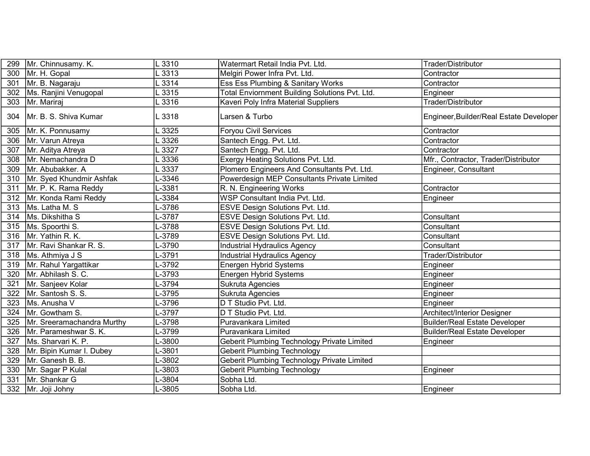| 299 | Mr. Chinnusamy. K.         | .3310  | Watermart Retail India Pvt. Ltd.               | Trader/Distributor                      |
|-----|----------------------------|--------|------------------------------------------------|-----------------------------------------|
| 300 | Mr. H. Gopal               | .3313  | Melgiri Power Infra Pvt. Ltd.                  | Contractor                              |
| 301 | Mr. B. Nagaraju            | .3314  | Ess Ess Plumbing & Sanitary Works              | Contractor                              |
| 302 | Ms. Ranjini Venugopal      | .3315  | Total Enviornment Building Solutions Pvt. Ltd. | Engineer                                |
| 303 | Mr. Mariraj                | .3316  | Kaveri Poly Infra Material Suppliers           | Trader/Distributor                      |
| 304 | Mr. B. S. Shiva Kumar      | L 3318 | Larsen & Turbo                                 | Engineer, Builder/Real Estate Developer |
| 305 | Mr. K. Ponnusamy           | 3325   | Foryou Civil Services                          | Contractor                              |
| 306 | Mr. Varun Atreya           | 3326   | Santech Engg. Pvt. Ltd.                        | Contractor                              |
| 307 | Mr. Aditya Atreya          | .3327  | Santech Engg. Pvt. Ltd.                        | Contractor                              |
| 308 | Mr. Nemachandra D          | .3336  | Exergy Heating Solutions Pvt. Ltd.             | Mfr., Contractor, Trader/Distributor    |
| 309 | Mr. Abubakker. A           | .3337  | Plomero Engineers And Consultants Pvt. Ltd.    | Engineer, Consultant                    |
| 310 | Mr. Syed Khundmir Ashfak   | -3346  | Powerdesign MEP Consultants Private Limited    |                                         |
| 311 | Mr. P. K. Rama Reddy       | -3381  | R. N. Engineering Works                        | Contractor                              |
| 312 | Mr. Konda Rami Reddy       | -3384  | WSP Consultant India Pvt. Ltd.                 | Engineer                                |
| 313 | Ms. Latha M. S             | -3786  | ESVE Design Solutions Pvt. Ltd.                |                                         |
| 314 | Ms. Dikshitha S            | L-3787 | ESVE Design Solutions Pvt. Ltd.                | Consultant                              |
| 315 | Ms. Spoorthi S.            | -3788  | <b>ESVE Design Solutions Pvt. Ltd.</b>         | Consultant                              |
| 316 | Mr. Yathin R. K.           | -3789  | ESVE Design Solutions Pvt. Ltd.                | Consultant                              |
| 317 | Mr. Ravi Shankar R. S.     | -3790  | <b>Industrial Hydraulics Agency</b>            | Consultant                              |
| 318 | Ms. Athmiya J S            | L-3791 | <b>Industrial Hydraulics Agency</b>            | Trader/Distributor                      |
| 319 | Mr. Rahul Yargattikar      | -3792  | Energen Hybrid Systems                         | Engineer                                |
| 320 | Mr. Abhilash S. C.         | -3793  | Energen Hybrid Systems                         | Engineer                                |
| 321 | Mr. Sanjeev Kolar          | L-3794 | Sukruta Agencies                               | Engineer                                |
| 322 | Mr. Santosh S. S.          | -3795  | Sukruta Agencies                               | Engineer                                |
| 323 | Ms. Anusha V               | -3796  | D T Studio Pvt. Ltd.                           | Engineer                                |
| 324 | Mr. Gowtham S.             | -3797  | D T Studio Pvt. Ltd.                           | Architect/Interior Designer             |
| 325 | Mr. Sreeramachandra Murthy | L-3798 | Puravankara Limited                            | <b>Builder/Real Estate Developer</b>    |
| 326 | Mr. Parameshwar S. K.      | -3799  | Puravankara Limited                            | <b>Builder/Real Estate Developer</b>    |
| 327 | Ms. Sharvari K. P.         | -3800  | Geberit Plumbing Technology Private Limited    | Engineer                                |
| 328 | Mr. Bipin Kumar I. Dubey   | -3801  | <b>Geberit Plumbing Technology</b>             |                                         |
| 329 | Mr. Ganesh B. B.           | L-3802 | Geberit Plumbing Technology Private Limited    |                                         |
| 330 | Mr. Sagar P Kulal          | -3803  | <b>Geberit Plumbing Technology</b>             | Engineer                                |
| 331 | Mr. Shankar G              | -3804  | Sobha Ltd.                                     |                                         |
| 332 | Mr. Joji Johny             | L-3805 | Sobha Ltd.                                     | Engineer                                |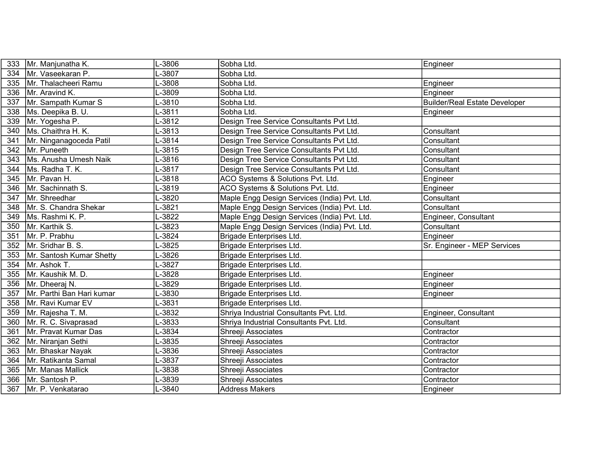| 333 | Mr. Manjunatha K.         | -3806   | Sobha Ltd.                                   | Engineer                             |
|-----|---------------------------|---------|----------------------------------------------|--------------------------------------|
| 334 | Mr. Vaseekaran P.         | -3807   | Sobha Ltd.                                   |                                      |
| 335 | Mr. Thalacheeri Ramu      | L-3808  | Sobha Ltd.                                   | Engineer                             |
| 336 | Mr. Aravind K.            | -3809   | Sobha Ltd.                                   | Engineer                             |
| 337 | Mr. Sampath Kumar S       | -3810   | Sobha Ltd.                                   | <b>Builder/Real Estate Developer</b> |
| 338 | Ms. Deepika B. U.         | $-3811$ | Sobha Ltd.                                   | Engineer                             |
| 339 | Mr. Yogesha P.            | L-3812  | Design Tree Service Consultants Pvt Ltd.     |                                      |
| 340 | Ms. Chaithra H. K.        | $-3813$ | Design Tree Service Consultants Pvt Ltd.     | Consultant                           |
| 341 | Mr. Ninganagoceda Patil   | -3814   | Design Tree Service Consultants Pvt Ltd.     | Consultant                           |
| 342 | Mr. Puneeth               | L-3815  | Design Tree Service Consultants Pvt Ltd.     | Consultant                           |
| 343 | Ms. Anusha Umesh Naik     | L-3816  | Design Tree Service Consultants Pvt Ltd.     | Consultant                           |
| 344 | Ms. Radha T. K.           | $-3817$ | Design Tree Service Consultants Pvt Ltd.     | Consultant                           |
| 345 | Mr. Pavan H.              | $-3818$ | ACO Systems & Solutions Pvt. Ltd.            | Engineer                             |
| 346 | Mr. Sachinnath S.         | L-3819  | ACO Systems & Solutions Pvt. Ltd.            | Engineer                             |
|     | 347   Mr. Shreedhar       | $-3820$ | Maple Engg Design Services (India) Pvt. Ltd. | Consultant                           |
| 348 | Mr. S. Chandra Shekar     | $-3821$ | Maple Engg Design Services (India) Pvt. Ltd. | Consultant                           |
| 349 | Ms. Rashmi K. P.          | -3822   | Maple Engg Design Services (India) Pvt. Ltd. | Engineer, Consultant                 |
| 350 | Mr. Karthik S.            | L-3823  | Maple Engg Design Services (India) Pvt. Ltd. | Consultant                           |
| 351 | Mr. P. Prabhu             | -3824   | Brigade Enterprises Ltd.                     | Engineer                             |
| 352 | Mr. Sridhar B. S.         | $-3825$ | Brigade Enterprises Ltd.                     | Sr. Engineer - MEP Services          |
| 353 | Mr. Santosh Kumar Shetty  | $-3826$ | Brigade Enterprises Ltd.                     |                                      |
| 354 | Mr. Ashok T.              | $-3827$ | Brigade Enterprises Ltd.                     |                                      |
| 355 | Mr. Kaushik M. D.         | -3828   | Brigade Enterprises Ltd.                     | Engineer                             |
| 356 | Mr. Dheeraj N.            | -3829   | Brigade Enterprises Ltd.                     | Engineer                             |
| 357 | Mr. Parthi Ban Hari kumar | -3830   | Brigade Enterprises Ltd.                     | Engineer                             |
| 358 | Mr. Ravi Kumar EV         | -3831   | <b>Brigade Enterprises Ltd.</b>              |                                      |
| 359 | Mr. Rajesha T. M.         | -3832   | Shriya Industrial Consultants Pvt. Ltd.      | Engineer, Consultant                 |
| 360 | Mr. R. C. Sivaprasad      | -3833   | Shriya Industrial Consultants Pvt. Ltd.      | Consultant                           |
| 361 | Mr. Pravat Kumar Das      | -3834   | Shreeji Associates                           | Contractor                           |
| 362 | Mr. Niranjan Sethi        | -3835   | Shreeji Associates                           | Contractor                           |
| 363 | Mr. Bhaskar Nayak         | -3836   | Shreeji Associates                           | Contractor                           |
| 364 | Mr. Ratikanta Samal       | L-3837  | Shreeji Associates                           | Contractor                           |
| 365 | Mr. Manas Mallick         | -3838   | Shreeji Associates                           | Contractor                           |
| 366 | Mr. Santosh P.            | -3839   | Shreeji Associates                           | Contractor                           |
| 367 | Mr. P. Venkatarao         | L-3840  | <b>Address Makers</b>                        | Engineer                             |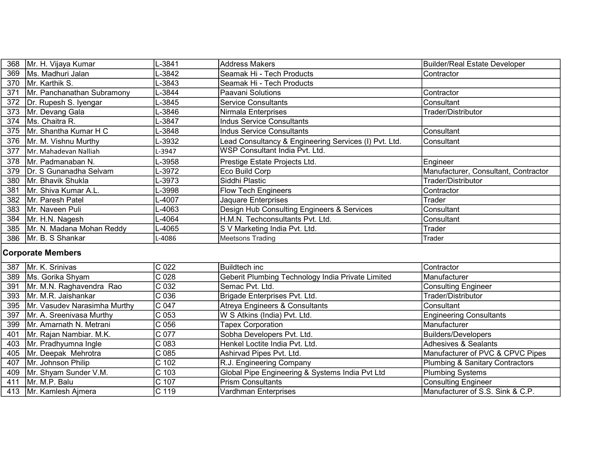| 368 | Mr. H. Vijaya Kumar         | L-3841 | <b>Address Makers</b>                                 | Builder/Real Estate Developer        |
|-----|-----------------------------|--------|-------------------------------------------------------|--------------------------------------|
| 369 | Ms. Madhuri Jalan           | L-3842 | Seamak Hi - Tech Products                             | Contractor                           |
| 370 | Mr. Karthik S.              | L-3843 | Seamak Hi - Tech Products                             |                                      |
| 371 | Mr. Panchanathan Subramony  | L-3844 | lPaavani Solutions                                    | Contractor                           |
| 372 | Dr. Rupesh S. Iyengar       | L-3845 | <b>Service Consultants</b>                            | Consultant                           |
| 373 | Mr. Devang Gala             | L-3846 | Nirmala Enterprises                                   | Trader/Distributor                   |
| 374 | Ms. Chaitra R.              | L-3847 | Indus Service Consultants                             |                                      |
|     | 375   Mr. Shantha Kumar H C | L-3848 | <b>Indus Service Consultants</b>                      | Consultant                           |
| 376 | Mr. M. Vishnu Murthy        | L-3932 | Lead Consultancy & Engineering Services (I) Pvt. Ltd. | Consultant                           |
| 377 | Mr. Mahadevan Nalliah       | L-3947 | WSP Consultant India Pvt. Ltd.                        |                                      |
| 378 | Mr. Padmanaban N.           | L-3958 | Prestige Estate Projects Ltd.                         | Engineer                             |
| 379 | Dr. S Gunanadha Selvam      | ∟-3972 | Eco Build Corp                                        | Manufacturer, Consultant, Contractor |
| 380 | Mr. Bhavik Shukla           | L-3973 | Siddhi Plastic                                        | Trader/Distributor                   |
| 381 | Mr. Shiva Kumar A.L.        | L-3998 | <b>Flow Tech Engineers</b>                            | Contractor                           |
| 382 | Mr. Paresh Patel            | -4007  | Jaquare Enterprises                                   | Trader                               |
| 383 | Mr. Naveen Puli             | L-4063 | Design Hub Consulting Engineers & Services            | Consultant                           |
| 384 | Mr. H.N. Nagesh             | ∟-4064 | H.M.N. Techconsultants Pvt. Ltd.                      | Consultant                           |
| 385 | Mr. N. Madana Mohan Reddy   | L-4065 | S V Marketing India Pvt. Ltd.                         | Trader                               |
| 386 | Mr. B. S Shankar            | L-4086 | <b>Meetsons Trading</b>                               | Trader                               |

## Corporate Members

| 387 | Mr. K. Srinivas                    | C 022            | <b>Buildtech inc</b>                              | Contractor                                 |
|-----|------------------------------------|------------------|---------------------------------------------------|--------------------------------------------|
|     | 389   Ms. Gorika Shyam             | C <sub>028</sub> | Geberit Plumbing Technology India Private Limited | Manufacturer                               |
| 391 | Mr. M.N. Raghavendra Rao           | C 032            | Semac Pvt. Ltd.                                   | <b>Consulting Engineer</b>                 |
|     | 393   Mr. M.R. Jaishankar          | C 036            | Brigade Enterprises Pvt. Ltd.                     | Trader/Distributor                         |
|     | 395   Mr. Vasudev Narasimha Murthy | C 047            | Atreya Engineers & Consultants                    | Consultant                                 |
| 397 | Mr. A. Sreenivasa Murthy           | C 053            | W S Atkins (India) Pvt. Ltd.                      | <b>Engineering Consultants</b>             |
|     | 399   Mr. Amarnath N. Metrani      | C <sub>056</sub> | <b>Tapex Corporation</b>                          | Manufacturer                               |
| 401 | Mr. Rajan Nambiar. M.K.            | C 077            | Sobha Developers Pvt. Ltd.                        | <b>Builders/Developers</b>                 |
|     | 403   Mr. Pradhyumna Ingle         | C 083            | Henkel Loctite India Pvt. Ltd.                    | Adhesives & Sealants                       |
|     | 405   Mr. Deepak Mehrotra          | $C$ 085          | Ashirvad Pipes Pvt. Ltd.                          | Manufacturer of PVC & CPVC Pipes           |
| 407 | Mr. Johnson Philip                 | C 102            | R.J. Engineering Company                          | <b>Plumbing &amp; Sanitary Contractors</b> |
|     | 409   Mr. Shyam Sunder V.M.        | C 103            | Global Pipe Engineering & Systems India Pvt Ltd   | <b>Plumbing Systems</b>                    |
| 411 | Mr. M.P. Balu                      | C 107            | <b>Prism Consultants</b>                          | <b>Consulting Engineer</b>                 |
|     | 413   Mr. Kamlesh Ajmera           | $C$ 119          | Vardhman Enterprises                              | Manufacturer of S.S. Sink & C.P.           |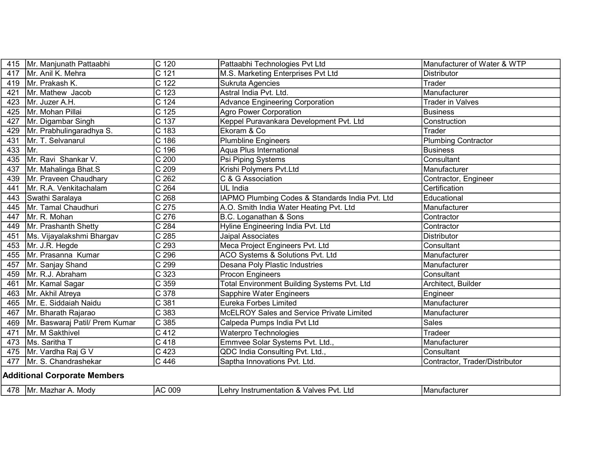| 415                                 | Mr. Manjunath Pattaabhi        | $C$ 120            | Pattaabhi Technologies Pvt Ltd                     | Manufacturer of Water & WTP    |
|-------------------------------------|--------------------------------|--------------------|----------------------------------------------------|--------------------------------|
| 417                                 | Mr. Anil K. Mehra              | $\overline{C}$ 121 | M.S. Marketing Enterprises Pvt Ltd                 | <b>Distributor</b>             |
|                                     | 419   Mr. Prakash K.           | C <sub>122</sub>   | Sukruta Agencies                                   | Trader                         |
| 421                                 | Mr. Mathew Jacob               | $\overline{C}$ 123 | Astral India Pvt. Ltd.                             | Manufacturer                   |
| 423                                 | Mr. Juzer A.H.                 | C 124              | <b>Advance Engineering Corporation</b>             | <b>Trader in Valves</b>        |
| 425                                 | Mr. Mohan Pillai               | $C$ 125            | <b>Agro Power Corporation</b>                      | <b>Business</b>                |
| 427                                 | Mr. Digambar Singh             | C 137              | Keppel Puravankara Development Pvt. Ltd            | Construction                   |
| 429                                 | Mr. Prabhulingaradhya S.       | $\overline{C}$ 183 | Ekoram & Co                                        | Trader                         |
| 431                                 | Mr. T. Selvanarul              | C 186              | <b>Plumbline Engineers</b>                         | <b>Plumbing Contractor</b>     |
| 433                                 | Mr.                            | $C$ 196            | Aqua Plus International                            | <b>Business</b>                |
| 435                                 | Mr. Ravi Shankar V.            | C 200              | Psi Piping Systems                                 | Consultant                     |
| 437                                 | Mr. Mahalinga Bhat.S           | C 209              | Krishi Polymers Pvt.Ltd                            | Manufacturer                   |
| 439                                 | Mr. Praveen Chaudhary          | C <sub>262</sub>   | C & G Association                                  | Contractor, Engineer           |
| 441                                 | Mr. R.A. Venkitachalam         | C <sub>264</sub>   | UL India                                           | Certification                  |
| 443                                 | Swathi Saralaya                | C <sub>268</sub>   | IAPMO Plumbing Codes & Standards India Pvt. Ltd    | Educational                    |
| 445                                 | Mr. Tamal Chaudhuri            | $\overline{C}$ 275 | A.O. Smith India Water Heating Pvt. Ltd            | Manufacturer                   |
| 447                                 | Mr. R. Mohan                   | $\overline{C}$ 276 | B.C. Loganathan & Sons                             | Contractor                     |
| 449                                 | Mr. Prashanth Shetty           | C 284              | Hyline Engineering India Pvt. Ltd                  | Contractor                     |
| 451                                 | Ms. Vijayalakshmi Bhargav      | $\overline{C}$ 285 | Jaipal Associates                                  | <b>Distributor</b>             |
| 453                                 | Mr. J.R. Hegde                 | $\overline{C}$ 293 | Meca Project Engineers Pvt. Ltd                    | Consultant                     |
| 455                                 | Mr. Prasanna Kumar             | C 296              | ACO Systems & Solutions Pvt. Ltd                   | Manufacturer                   |
| 457                                 | Mr. Sanjay Shand               | C 299              | Desana Poly Plastic Industries                     | Manufacturer                   |
| 459                                 | Mr. R.J. Abraham               | $\overline{C}$ 323 | Procon Engineers                                   | Consultant                     |
| 461                                 | Mr. Kamal Sagar                | $\overline{C}$ 359 | <b>Total Environment Building Systems Pvt. Ltd</b> | Architect, Builder             |
| 463                                 | Mr. Akhil Atreya               | $\overline{C}$ 378 | Sapphire Water Engineers                           | Engineer                       |
| 465                                 | Mr. E. Siddaiah Naidu          | C 381              | <b>Eureka Forbes Limited</b>                       | Manufacturer                   |
| 467                                 | Mr. Bharath Rajarao            | C 383              | McELROY Sales and Service Private Limited          | Manufacturer                   |
| 469                                 | Mr. Baswaraj Patil/ Prem Kumar | $\overline{C}$ 385 | Calpeda Pumps India Pvt Ltd                        | <b>Sales</b>                   |
| 471                                 | Mr. M Sakthivel                | $\overline{C412}$  | Waterpro Technologies                              | <b>Tradeer</b>                 |
| 473                                 | Ms. Saritha T                  | $C$ 418            | Emmvee Solar Systems Pvt. Ltd.,                    | Manufacturer                   |
| 475                                 | Mr. Vardha Raj G V             | C 423              | QDC India Consulting Pvt. Ltd.,                    | Consultant                     |
| 477                                 | Mr. S. Chandrashekar           | $C$ 446            | Saptha Innovations Pvt. Ltd.                       | Contractor, Trader/Distributor |
| <b>Additional Corporate Members</b> |                                |                    |                                                    |                                |
|                                     | 478   Mr. Mazhar A. Mody       | AC 009             | Lehry Instrumentation & Valves Pvt. Ltd            | Manufacturer                   |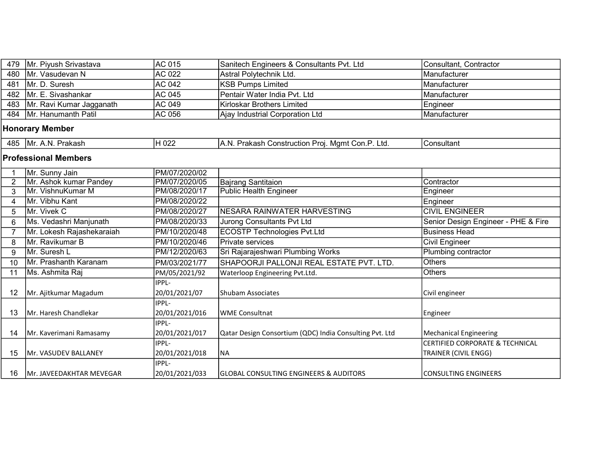| 479                         | Mr. Piyush Srivastava     | <b>AC 015</b>  | Sanitech Engineers & Consultants Pvt. Ltd               | Consultant, Contractor                     |  |  |
|-----------------------------|---------------------------|----------------|---------------------------------------------------------|--------------------------------------------|--|--|
| 480                         | Mr. Vasudevan N           | AC 022         | Astral Polytechnik Ltd.                                 | Manufacturer                               |  |  |
| 481                         | Mr. D. Suresh             | AC 042         | <b>KSB Pumps Limited</b>                                | Manufacturer                               |  |  |
| 482                         | Mr. E. Sivashankar        | <b>AC 045</b>  | Pentair Water India Pvt. Ltd                            | Manufacturer                               |  |  |
| 483                         | Mr. Ravi Kumar Jagganath  | AC 049         | Kirloskar Brothers Limited                              | Engineer                                   |  |  |
| 484                         | Mr. Hanumanth Patil       | AC 056         | Ajay Industrial Corporation Ltd                         | Manufacturer                               |  |  |
|                             | <b>Honorary Member</b>    |                |                                                         |                                            |  |  |
| 485                         | Mr. A.N. Prakash          | H 022          | A.N. Prakash Construction Proj. Mgmt Con.P. Ltd.        | Consultant                                 |  |  |
| <b>Professional Members</b> |                           |                |                                                         |                                            |  |  |
| 1                           | Mr. Sunny Jain            | PM/07/2020/02  |                                                         |                                            |  |  |
| $\overline{2}$              | Mr. Ashok kumar Pandey    | PM/07/2020/05  | <b>Bajrang Santitaion</b>                               | Contractor                                 |  |  |
| 3                           | Mr. VishnuKumar M         | PM/08/2020/17  | <b>Public Health Engineer</b>                           | Engineer                                   |  |  |
| 4                           | Mr. Vibhu Kant            | PM/08/2020/22  |                                                         | Engineer                                   |  |  |
| 5                           | Mr. Vivek C               | PM/08/2020/27  | NESARA RAINWATER HARVESTING                             | <b>CIVIL ENGINEER</b>                      |  |  |
| 6                           | Ms. Vedashri Manjunath    | PM/08/2020/33  | <b>Jurong Consultants Pvt Ltd</b>                       | Senior Design Engineer - PHE & Fire        |  |  |
| $\overline{7}$              | Mr. Lokesh Rajashekaraiah | PM/10/2020/48  | <b>ECOSTP Technologies Pvt.Ltd</b>                      | <b>Business Head</b>                       |  |  |
| 8                           | Mr. Ravikumar B           | PM/10/2020/46  | Private services                                        | <b>Civil Engineer</b>                      |  |  |
| 9                           | Mr. Suresh L              | PM/12/2020/63  | Sri Rajarajeshwari Plumbing Works                       | <b>Plumbing contractor</b>                 |  |  |
| 10                          | Mr. Prashanth Karanam     | PM/03/2021/77  | SHAPOORJI PALLONJI REAL ESTATE PVT. LTD.                | <b>Others</b>                              |  |  |
| 11                          | Ms. Ashmita Raj           | PM/05/2021/92  | Waterloop Engineering Pvt.Ltd.                          | <b>Others</b>                              |  |  |
|                             |                           | IPPL-          |                                                         |                                            |  |  |
| 12                          | Mr. Ajitkumar Magadum     | 20/01/2021/07  | Shubam Associates                                       | Civil engineer                             |  |  |
|                             |                           | IPPL-          |                                                         |                                            |  |  |
| 13                          | Mr. Haresh Chandlekar     | 20/01/2021/016 | <b>WME Consultnat</b>                                   | Engineer                                   |  |  |
|                             |                           | IPPL-          |                                                         |                                            |  |  |
| 14                          | Mr. Kaverimani Ramasamy   | 20/01/2021/017 | Qatar Design Consortium (QDC) India Consulting Pvt. Ltd | <b>Mechanical Engineering</b>              |  |  |
|                             |                           | IPPL-          |                                                         | <b>CERTIFIED CORPORATE &amp; TECHNICAL</b> |  |  |
| 15                          | Mr. VASUDEV BALLANEY      | 20/01/2021/018 | <b>NA</b>                                               | <b>TRAINER (CIVIL ENGG)</b>                |  |  |
|                             |                           | IPPL-          |                                                         |                                            |  |  |
| 16                          | IMr. JAVEEDAKHTAR MEVEGAR | 20/01/2021/033 | GLOBAL CONSULTING ENGINEERS & AUDITORS                  | <b>CONSULTING ENGINEERS</b>                |  |  |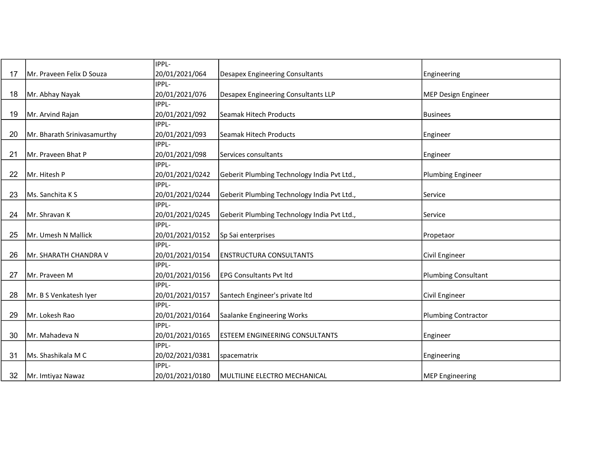|    |                             | IPPL-           |                                             |                            |
|----|-----------------------------|-----------------|---------------------------------------------|----------------------------|
| 17 | Mr. Praveen Felix D Souza   | 20/01/2021/064  | <b>Desapex Engineering Consultants</b>      | Engineering                |
|    |                             | IPPL-           |                                             |                            |
| 18 | Mr. Abhay Nayak             | 20/01/2021/076  | Desapex Engineering Consultants LLP         | <b>MEP Design Engineer</b> |
|    |                             | IPPL-           |                                             |                            |
| 19 | Mr. Arvind Rajan            | 20/01/2021/092  | <b>Seamak Hitech Products</b>               | <b>Businees</b>            |
|    |                             | IPPL-           |                                             |                            |
| 20 | Mr. Bharath Srinivasamurthy | 20/01/2021/093  | Seamak Hitech Products                      | Engineer                   |
|    |                             | IPPL-           |                                             |                            |
| 21 | Mr. Praveen Bhat P          | 20/01/2021/098  | Services consultants                        | Engineer                   |
|    |                             | IPPL-           |                                             |                            |
| 22 | Mr. Hitesh P                | 20/01/2021/0242 | Geberit Plumbing Technology India Pvt Ltd., | <b>Plumbing Engineer</b>   |
|    |                             | IPPL-           |                                             |                            |
| 23 | Ms. Sanchita K S            | 20/01/2021/0244 | Geberit Plumbing Technology India Pvt Ltd., | Service                    |
|    |                             | IPPL-           |                                             |                            |
| 24 | Mr. Shravan K               | 20/01/2021/0245 | Geberit Plumbing Technology India Pvt Ltd., | Service                    |
|    |                             | IPPL-           |                                             |                            |
| 25 | Mr. Umesh N Mallick         | 20/01/2021/0152 | Sp Sai enterprises                          | Propetaor                  |
|    |                             | IPPL-           |                                             |                            |
| 26 | Mr. SHARATH CHANDRA V       | 20/01/2021/0154 | <b>ENSTRUCTURA CONSULTANTS</b>              | Civil Engineer             |
|    |                             | IPPL-           |                                             |                            |
| 27 | Mr. Praveen M               | 20/01/2021/0156 | <b>EPG Consultants Pvt Itd</b>              | <b>Plumbing Consultant</b> |
|    |                             | IPPL-           |                                             |                            |
| 28 | Mr. B S Venkatesh Iyer      | 20/01/2021/0157 | Santech Engineer's private Itd              | Civil Engineer             |
|    |                             | IPPL-           |                                             |                            |
| 29 | Mr. Lokesh Rao              | 20/01/2021/0164 | Saalanke Engineering Works                  | <b>Plumbing Contractor</b> |
|    |                             | IPPL-           |                                             |                            |
| 30 | Mr. Mahadeva N              | 20/01/2021/0165 | <b>ESTEEM ENGINEERING CONSULTANTS</b>       | Engineer                   |
|    |                             | IPPL-           |                                             |                            |
| 31 | Ms. Shashikala M C          | 20/02/2021/0381 | spacematrix                                 | Engineering                |
|    |                             | IPPL-           |                                             |                            |
| 32 | Mr. Imtiyaz Nawaz           | 20/01/2021/0180 | MULTILINE ELECTRO MECHANICAL                | <b>MEP Engineering</b>     |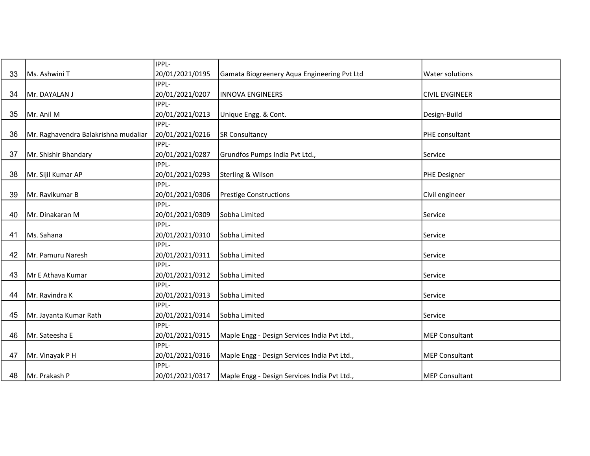|    |                                      | IPPL-           |                                              |                       |
|----|--------------------------------------|-----------------|----------------------------------------------|-----------------------|
| 33 | Ms. Ashwini T                        | 20/01/2021/0195 | Gamata Biogreenery Aqua Engineering Pvt Ltd  | Water solutions       |
|    |                                      | IIPPL-          |                                              |                       |
| 34 | Mr. DAYALAN J                        | 20/01/2021/0207 | <b>INNOVA ENGINEERS</b>                      | <b>CIVIL ENGINEER</b> |
|    |                                      | IPPL-           |                                              |                       |
| 35 | Mr. Anil M                           | 20/01/2021/0213 | Unique Engg. & Cont.                         | Design-Build          |
|    |                                      | IPPL-           |                                              |                       |
| 36 | Mr. Raghavendra Balakrishna mudaliar | 20/01/2021/0216 | <b>SR Consultancy</b>                        | PHE consultant        |
|    |                                      | IPPL-           |                                              |                       |
| 37 | Mr. Shishir Bhandary                 | 20/01/2021/0287 | Grundfos Pumps India Pvt Ltd.,               | Service               |
|    |                                      | IPPL-           |                                              |                       |
| 38 | Mr. Sijil Kumar AP                   | 20/01/2021/0293 | Sterling & Wilson                            | <b>PHE Designer</b>   |
|    |                                      | IPPL-           |                                              |                       |
| 39 | Mr. Ravikumar B                      | 20/01/2021/0306 | <b>Prestige Constructions</b>                | Civil engineer        |
|    |                                      | IPPL-           |                                              |                       |
| 40 | Mr. Dinakaran M                      | 20/01/2021/0309 | Sobha Limited                                | Service               |
|    |                                      | IPPL-           |                                              |                       |
| 41 | Ms. Sahana                           | 20/01/2021/0310 | Sobha Limited                                | Service               |
|    |                                      | IPPL-           |                                              |                       |
| 42 | Mr. Pamuru Naresh                    | 20/01/2021/0311 | Sobha Limited                                | Service               |
|    |                                      | IPPL-           |                                              |                       |
| 43 | Mr E Athava Kumar                    | 20/01/2021/0312 | Sobha Limited                                | Service               |
|    |                                      | IPPL-           |                                              |                       |
| 44 | Mr. Ravindra K                       | 20/01/2021/0313 | Sobha Limited                                | Service               |
|    |                                      | IPPL-           |                                              |                       |
| 45 | Mr. Jayanta Kumar Rath               | 20/01/2021/0314 | Sobha Limited                                | Service               |
|    |                                      | IPPL-           |                                              |                       |
| 46 | Mr. Sateesha E                       | 20/01/2021/0315 | Maple Engg - Design Services India Pvt Ltd., | <b>MEP Consultant</b> |
|    |                                      | IPPL-           |                                              |                       |
| 47 | Mr. Vinayak P H                      | 20/01/2021/0316 | Maple Engg - Design Services India Pvt Ltd., | <b>MEP Consultant</b> |
|    |                                      | IPPL-           |                                              |                       |
| 48 | Mr. Prakash P                        | 20/01/2021/0317 | Maple Engg - Design Services India Pvt Ltd., | <b>MEP Consultant</b> |